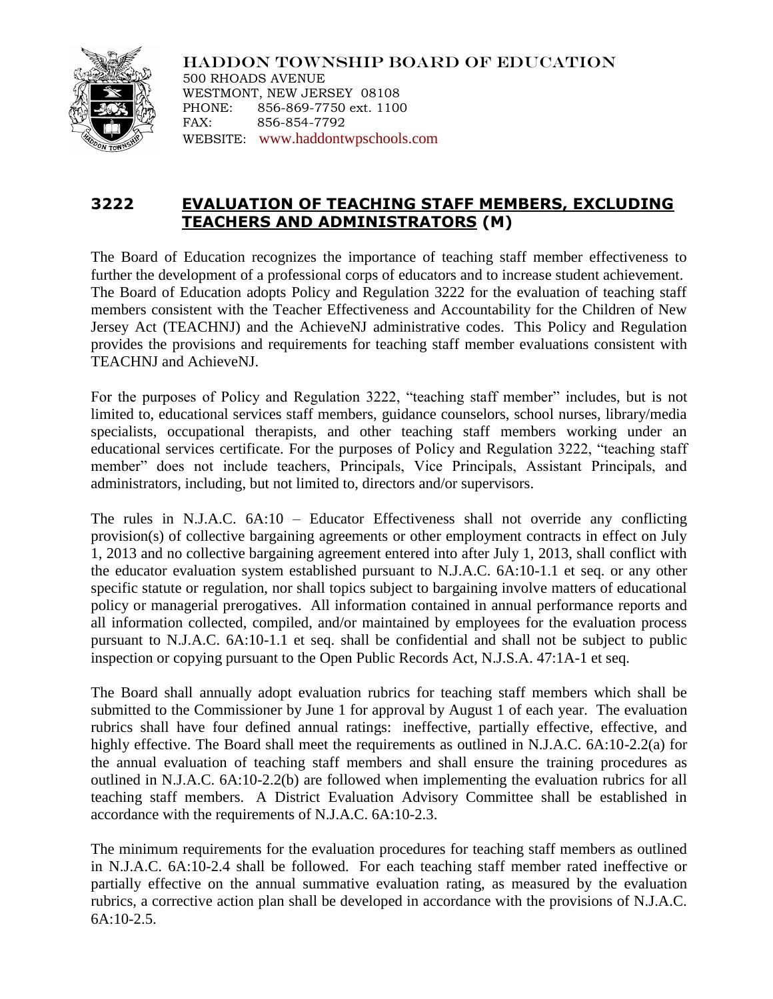

HADDON TOWNSHIP BOARD OF EDUCATION 500 RHOADS AVENUE WESTMONT, NEW JERSEY 08108 PHONE: 856-869-7750 ext. 1100 FAX: 856-854-7792 WEBSITE: [www.haddontwpschools.com](http://www.haddontwpschools.com/)

## **3222 EVALUATION OF TEACHING STAFF MEMBERS, EXCLUDING TEACHERS AND ADMINISTRATORS (M)**

The Board of Education recognizes the importance of teaching staff member effectiveness to further the development of a professional corps of educators and to increase student achievement. The Board of Education adopts Policy and Regulation 3222 for the evaluation of teaching staff members consistent with the Teacher Effectiveness and Accountability for the Children of New Jersey Act (TEACHNJ) and the AchieveNJ administrative codes. This Policy and Regulation provides the provisions and requirements for teaching staff member evaluations consistent with TEACHNJ and AchieveNJ.

For the purposes of Policy and Regulation 3222, "teaching staff member" includes, but is not limited to, educational services staff members, guidance counselors, school nurses, library/media specialists, occupational therapists, and other teaching staff members working under an educational services certificate. For the purposes of Policy and Regulation 3222, "teaching staff member" does not include teachers, Principals, Vice Principals, Assistant Principals, and administrators, including, but not limited to, directors and/or supervisors.

The rules in N.J.A.C. 6A:10 – Educator Effectiveness shall not override any conflicting provision(s) of collective bargaining agreements or other employment contracts in effect on July 1, 2013 and no collective bargaining agreement entered into after July 1, 2013, shall conflict with the educator evaluation system established pursuant to N.J.A.C. 6A:10-1.1 et seq. or any other specific statute or regulation, nor shall topics subject to bargaining involve matters of educational policy or managerial prerogatives. All information contained in annual performance reports and all information collected, compiled, and/or maintained by employees for the evaluation process pursuant to N.J.A.C. 6A:10-1.1 et seq. shall be confidential and shall not be subject to public inspection or copying pursuant to the Open Public Records Act, N.J.S.A. 47:1A-1 et seq.

The Board shall annually adopt evaluation rubrics for teaching staff members which shall be submitted to the Commissioner by June 1 for approval by August 1 of each year. The evaluation rubrics shall have four defined annual ratings: ineffective, partially effective, effective, and highly effective. The Board shall meet the requirements as outlined in N.J.A.C. 6A:10-2.2(a) for the annual evaluation of teaching staff members and shall ensure the training procedures as outlined in N.J.A.C. 6A:10-2.2(b) are followed when implementing the evaluation rubrics for all teaching staff members. A District Evaluation Advisory Committee shall be established in accordance with the requirements of N.J.A.C. 6A:10-2.3.

The minimum requirements for the evaluation procedures for teaching staff members as outlined in N.J.A.C. 6A:10-2.4 shall be followed. For each teaching staff member rated ineffective or partially effective on the annual summative evaluation rating, as measured by the evaluation rubrics, a corrective action plan shall be developed in accordance with the provisions of N.J.A.C.  $6A:10-2.5$